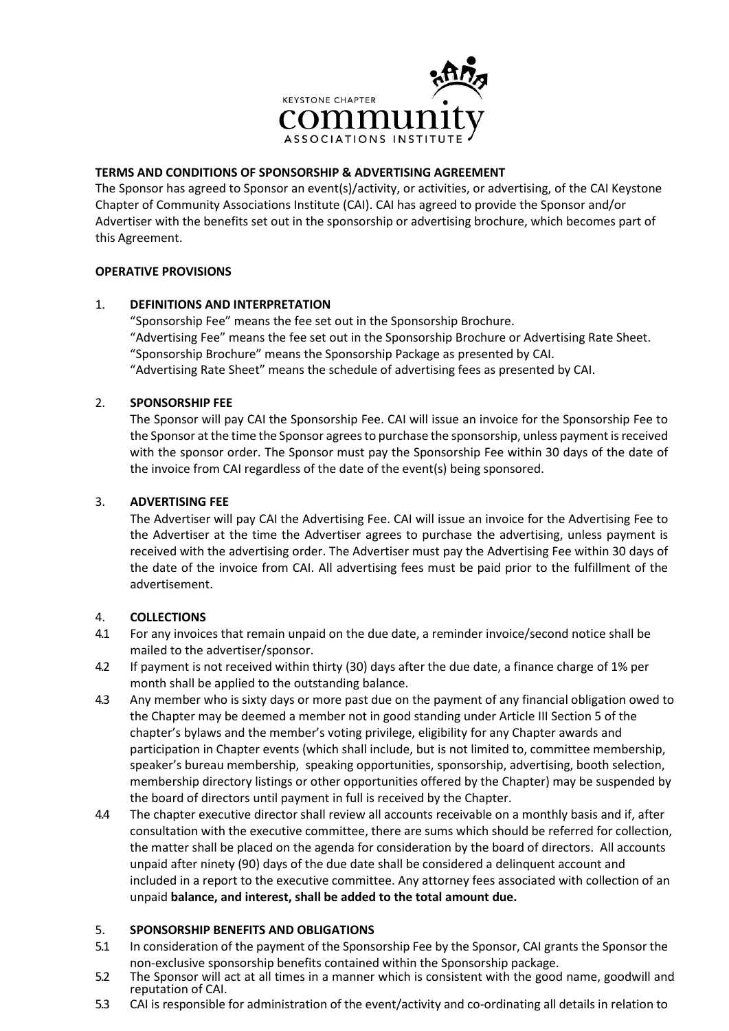

## **TERMS AND CONDITIONS OF SPONSORSHIP & ADVERTISING AGREEMENT**

The Sponsor has agreed to Sponsor an event(s)/activity, or activities, or advertising, of the CAI Keystone Chapter of Community Associations Institute (CAI). CAI has agreed to provide the Sponsor and/or Advertiser with the benefits set out in the sponsorship or advertising brochure, which becomes part of this Agreement.

### **OPERATIVE PROVISIONS**

### 1. **DEFINITIONS AND INTERPRETATION**

"Sponsorship Fee" means the fee set out in the Sponsorship Brochure. "Advertising Fee" means the fee set out in the Sponsorship Brochure or Advertising Rate Sheet. "Sponsorship Brochure" means the Sponsorship Package as presented by CAI. "Advertising Rate Sheet" means the schedule of advertising fees as presented by CAI.

### 2. **SPONSORSHIP FEE**

The Sponsor will pay CAI the Sponsorship Fee. CAI will issue an invoice for the Sponsorship Fee to the Sponsor at the time the Sponsor agrees to purchase the sponsorship, unless payment is received with the sponsor order. The Sponsor must pay the Sponsorship Fee within 30 days of the date of the invoice from CAI regardless of the date of the event(s) being sponsored.

### 3. **ADVERTISING FEE**

The Advertiser will pay CAI the Advertising Fee. CAI will issue an invoice for the Advertising Fee to the Advertiser at the time the Advertiser agrees to purchase the advertising, unless payment is received with the advertising order. The Advertiser must pay the Advertising Fee within 30 days of the date of the invoice from CAI. All advertising fees must be paid prior to the fulfillment of the advertisement.

# 4. **COLLECTIONS**

- 4.1 For any invoices that remain unpaid on the due date, a reminder invoice/second notice shall be mailed to the advertiser/sponsor.
- 4.2 If payment is not received within thirty (30) days after the due date, a finance charge of 1% per month shall be applied to the outstanding balance.
- 4.3 Any member who is sixty days or more past due on the payment of any financial obligation owed to the Chapter may be deemed a member not in good standing under Article III Section 5 of the chapter's bylaws and the member's voting privilege, eligibility for any Chapter awards and participation in Chapter events (which shall include, but is not limited to, committee membership, speaker's bureau membership, speaking opportunities, sponsorship, advertising, booth selection, membership directory listings or other opportunities offered by the Chapter) may be suspended by the board of directors until payment in full is received by the Chapter.
- 4.4 The chapter executive director shall review all accounts receivable on a monthly basis and if, after consultation with the executive committee, there are sums which should be referred for collection, the matter shall be placed on the agenda for consideration by the board of directors. All accounts unpaid after ninety (90) days of the due date shall be considered a delinquent account and included in a report to the executive committee. Any attorney fees associated with collection of an unpaid **balance, and interest, shall be added to the total amount due.**

#### 5. **SPONSORSHIP BENEFITS AND OBLIGATIONS**

- 5.1 In consideration of the payment of the Sponsorship Fee by the Sponsor, CAI grants the Sponsor the non-exclusive sponsorship benefits contained within the Sponsorship package.
- 5.2 The Sponsor will act at all times in a manner which is consistent with the good name, goodwill and reputation of CAI.
- 5.3 CAI is responsible for administration of the event/activity and co-ordinating all details in relation to